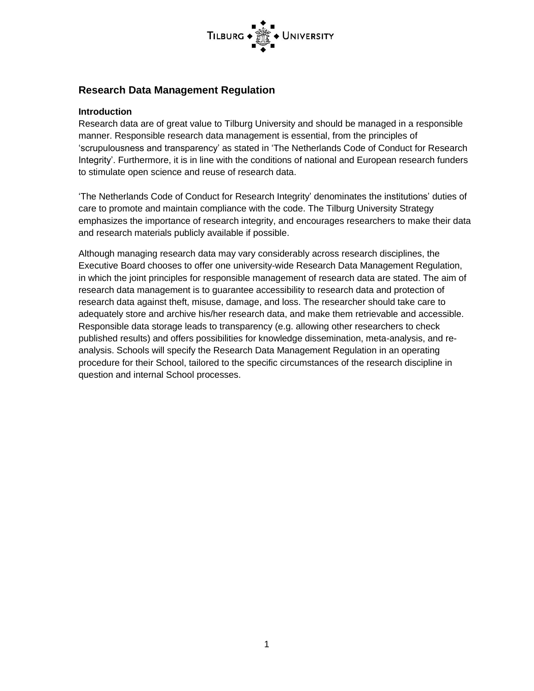

## **Research Data Management Regulation**

#### **Introduction**

Research data are of great value to Tilburg University and should be managed in a responsible manner. Responsible research data management is essential, from the principles of 'scrupulousness and transparency' as stated in 'The Netherlands Code of Conduct for Research Integrity'. Furthermore, it is in line with the conditions of national and European research funders to stimulate open science and reuse of research data.

'The Netherlands Code of Conduct for Research Integrity' denominates the institutions' duties of care to promote and maintain compliance with the code. The Tilburg University Strategy emphasizes the importance of research integrity, and encourages researchers to make their data and research materials publicly available if possible.

Although managing research data may vary considerably across research disciplines, the Executive Board chooses to offer one university-wide Research Data Management Regulation, in which the joint principles for responsible management of research data are stated. The aim of research data management is to guarantee accessibility to research data and protection of research data against theft, misuse, damage, and loss. The researcher should take care to adequately store and archive his/her research data, and make them retrievable and accessible. Responsible data storage leads to transparency (e.g. allowing other researchers to check published results) and offers possibilities for knowledge dissemination, meta-analysis, and reanalysis. Schools will specify the Research Data Management Regulation in an operating procedure for their School, tailored to the specific circumstances of the research discipline in question and internal School processes.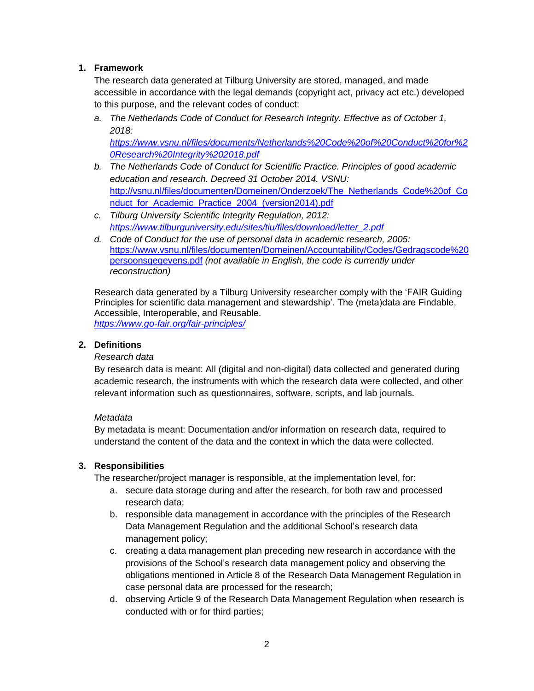#### **1. Framework**

The research data generated at Tilburg University are stored, managed, and made accessible in accordance with the legal demands (copyright act, privacy act etc.) developed to this purpose, and the relevant codes of conduct:

*a. The Netherlands Code of Conduct for Research Integrity. Effective as of October 1, 2018:*

*[https://www.vsnu.nl/files/documents/Netherlands%20Code%20of%20Conduct%20for%2](https://www.vsnu.nl/files/documents/Netherlands%20Code%20of%20Conduct%20for%20Research%20Integrity%202018.pdf) [0Research%20Integrity%202018.pdf](https://www.vsnu.nl/files/documents/Netherlands%20Code%20of%20Conduct%20for%20Research%20Integrity%202018.pdf)*

- *b. The Netherlands Code of Conduct for Scientific Practice. Principles of good academic education and research. Decreed 31 October 2014. VSNU:*  [http://vsnu.nl/files/documenten/Domeinen/Onderzoek/The\\_Netherlands\\_Code%20of\\_Co](http://vsnu.nl/files/documenten/Domeinen/Onderzoek/The_Netherlands_Code%20of_Conduct_for_Academic_Practice_2004_(version2014).pdf) nduct for Academic Practice 2004 (version2014).pdf
- *c. Tilburg University Scientific Integrity Regulation, 2012: [https://www.tilburguniversity.edu/sites/tiu/files/download/letter\\_2.pdf](https://www.tilburguniversity.edu/sites/tiu/files/download/letter_2.pdf)*
- *d. Code of Conduct for the use of personal data in academic research, 2005:* [https://www.vsnu.nl/files/documenten/Domeinen/Accountability/Codes/Gedragscode%20](https://www.vsnu.nl/files/documenten/Domeinen/Accountability/Codes/Gedragscode%20persoonsgegevens.pdf) [persoonsgegevens.pdf](https://www.vsnu.nl/files/documenten/Domeinen/Accountability/Codes/Gedragscode%20persoonsgegevens.pdf) *(not available in English, the code is currently under reconstruction)*

Research data generated by a Tilburg University researcher comply with the 'FAIR Guiding Principles for scientific data management and stewardship'. The (meta)data are Findable, Accessible, Interoperable, and Reusable. *<https://www.go-fair.org/fair-principles/>*

#### **2. Definitions**

#### *Research data*

By research data is meant: All (digital and non-digital) data collected and generated during academic research, the instruments with which the research data were collected, and other relevant information such as questionnaires, software, scripts, and lab journals.

#### *Metadata*

By metadata is meant: Documentation and/or information on research data, required to understand the content of the data and the context in which the data were collected.

## **3. Responsibilities**

The researcher/project manager is responsible, at the implementation level, for:

- a. secure data storage during and after the research, for both raw and processed research data;
- b. responsible data management in accordance with the principles of the Research Data Management Regulation and the additional School's research data management policy;
- c. creating a data management plan preceding new research in accordance with the provisions of the School's research data management policy and observing the obligations mentioned in Article 8 of the Research Data Management Regulation in case personal data are processed for the research;
- d. observing Article 9 of the Research Data Management Regulation when research is conducted with or for third parties;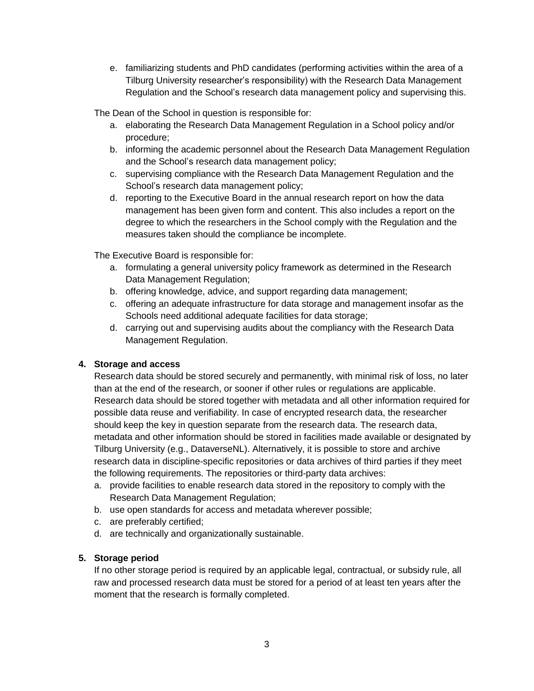e. familiarizing students and PhD candidates (performing activities within the area of a Tilburg University researcher's responsibility) with the Research Data Management Regulation and the School's research data management policy and supervising this.

The Dean of the School in question is responsible for:

- a. elaborating the Research Data Management Regulation in a School policy and/or procedure;
- b. informing the academic personnel about the Research Data Management Regulation and the School's research data management policy;
- c. supervising compliance with the Research Data Management Regulation and the School's research data management policy;
- d. reporting to the Executive Board in the annual research report on how the data management has been given form and content. This also includes a report on the degree to which the researchers in the School comply with the Regulation and the measures taken should the compliance be incomplete.

The Executive Board is responsible for:

- a. formulating a general university policy framework as determined in the Research Data Management Regulation;
- b. offering knowledge, advice, and support regarding data management;
- c. offering an adequate infrastructure for data storage and management insofar as the Schools need additional adequate facilities for data storage;
- d. carrying out and supervising audits about the compliancy with the Research Data Management Regulation.

## **4. Storage and access**

Research data should be stored securely and permanently, with minimal risk of loss, no later than at the end of the research, or sooner if other rules or regulations are applicable. Research data should be stored together with metadata and all other information required for possible data reuse and verifiability. In case of encrypted research data, the researcher should keep the key in question separate from the research data. The research data, metadata and other information should be stored in facilities made available or designated by Tilburg University (e.g., DataverseNL). Alternatively, it is possible to store and archive research data in discipline-specific repositories or data archives of third parties if they meet the following requirements. The repositories or third-party data archives:

- a. provide facilities to enable research data stored in the repository to comply with the Research Data Management Regulation;
- b. use open standards for access and metadata wherever possible;
- c. are preferably certified;
- d. are technically and organizationally sustainable.

## **5. Storage period**

If no other storage period is required by an applicable legal, contractual, or subsidy rule, all raw and processed research data must be stored for a period of at least ten years after the moment that the research is formally completed.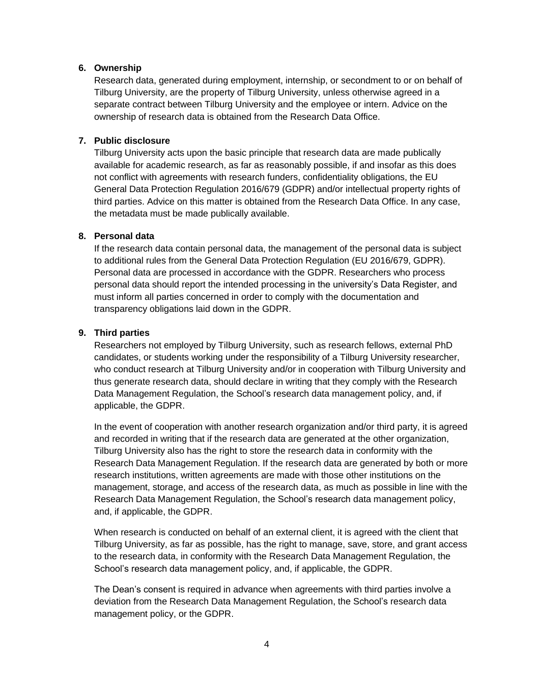#### **6. Ownership**

Research data, generated during employment, internship, or secondment to or on behalf of Tilburg University, are the property of Tilburg University, unless otherwise agreed in a separate contract between Tilburg University and the employee or intern. Advice on the ownership of research data is obtained from the Research Data Office.

## **7. Public disclosure**

Tilburg University acts upon the basic principle that research data are made publically available for academic research, as far as reasonably possible, if and insofar as this does not conflict with agreements with research funders, confidentiality obligations, the EU General Data Protection Regulation 2016/679 (GDPR) and/or intellectual property rights of third parties. Advice on this matter is obtained from the Research Data Office. In any case, the metadata must be made publically available.

#### **8. Personal data**

If the research data contain personal data, the management of the personal data is subject to additional rules from the General Data Protection Regulation (EU 2016/679, GDPR). Personal data are processed in accordance with the GDPR. Researchers who process personal data should report the intended processing in the university's Data Register, and must inform all parties concerned in order to comply with the documentation and transparency obligations laid down in the GDPR.

#### **9. Third parties**

Researchers not employed by Tilburg University, such as research fellows, external PhD candidates, or students working under the responsibility of a Tilburg University researcher, who conduct research at Tilburg University and/or in cooperation with Tilburg University and thus generate research data, should declare in writing that they comply with the Research Data Management Regulation, the School's research data management policy, and, if applicable, the GDPR.

In the event of cooperation with another research organization and/or third party, it is agreed and recorded in writing that if the research data are generated at the other organization, Tilburg University also has the right to store the research data in conformity with the Research Data Management Regulation. If the research data are generated by both or more research institutions, written agreements are made with those other institutions on the management, storage, and access of the research data, as much as possible in line with the Research Data Management Regulation, the School's research data management policy, and, if applicable, the GDPR.

When research is conducted on behalf of an external client, it is agreed with the client that Tilburg University, as far as possible, has the right to manage, save, store, and grant access to the research data, in conformity with the Research Data Management Regulation, the School's research data management policy, and, if applicable, the GDPR.

The Dean's consent is required in advance when agreements with third parties involve a deviation from the Research Data Management Regulation, the School's research data management policy, or the GDPR.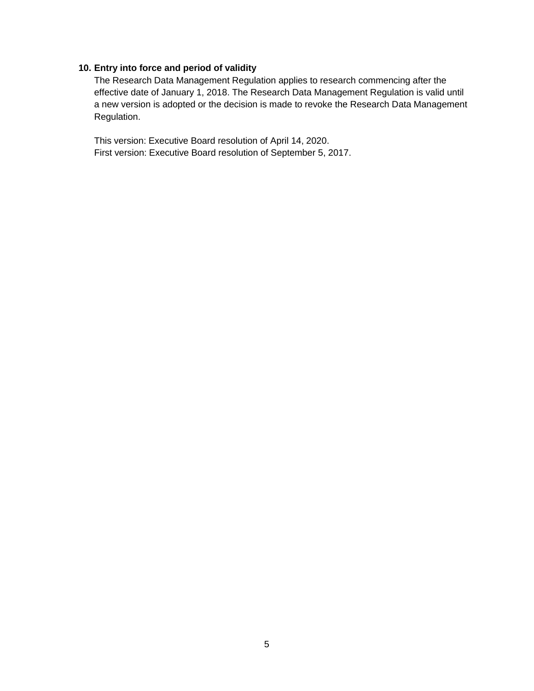#### **10. Entry into force and period of validity**

The Research Data Management Regulation applies to research commencing after the effective date of January 1, 2018. The Research Data Management Regulation is valid until a new version is adopted or the decision is made to revoke the Research Data Management Regulation.

This version: Executive Board resolution of April 14, 2020. First version: Executive Board resolution of September 5, 2017.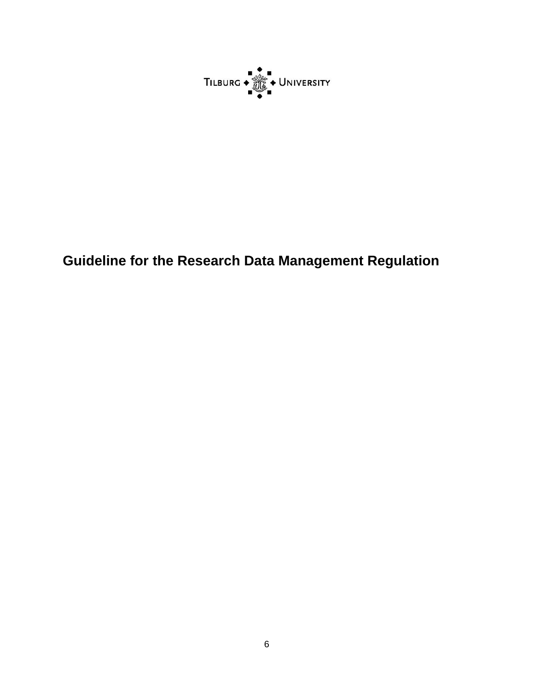

# **Guideline for the Research Data Management Regulation**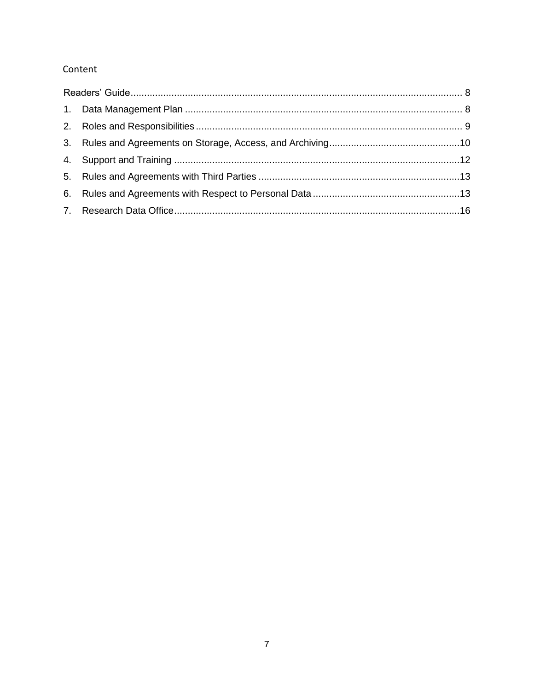# Content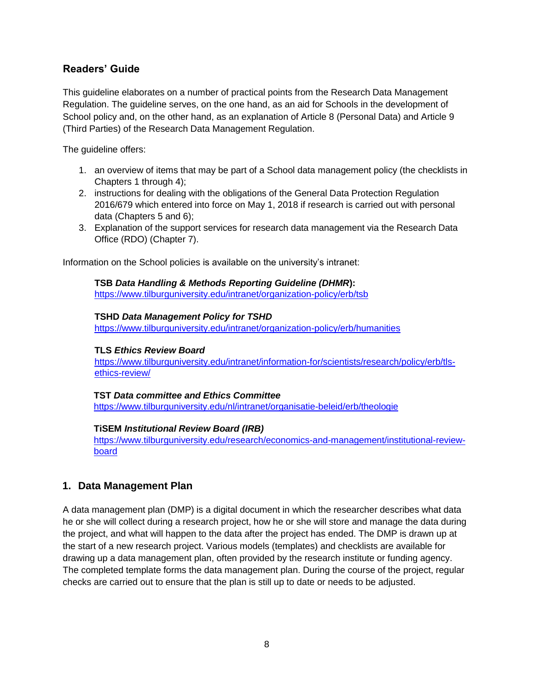## <span id="page-7-0"></span>**Readers' Guide**

This guideline elaborates on a number of practical points from the Research Data Management Regulation. The guideline serves, on the one hand, as an aid for Schools in the development of School policy and, on the other hand, as an explanation of Article 8 (Personal Data) and Article 9 (Third Parties) of the Research Data Management Regulation.

The guideline offers:

- 1. an overview of items that may be part of a School data management policy (the checklists in Chapters 1 through 4);
- 2. instructions for dealing with the obligations of the General Data Protection Regulation 2016/679 which entered into force on May 1, 2018 if research is carried out with personal data (Chapters 5 and 6);
- 3. Explanation of the support services for research data management via the Research Data Office (RDO) (Chapter 7).

Information on the School policies is available on the university's intranet:

**TSB** *Data Handling & Methods Reporting Guideline (DHMR***)[:](https://www.tilburguniversity.edu/nl/intranet/organisatie-beleid/organisatie/faculteiten-instituten/tsb/wetenschapscommissie/)** [https://www.tilburguniversity.edu/intranet/organization-policy/erb/tsb](https://www.tilburguniversity.edu/nl/intranet/organisatie-beleid/organisatie/faculteiten-instituten/tsb/wetenschapscommissie/)

#### **TSHD** *Data Management Policy for TSHD*

<https://www.tilburguniversity.edu/intranet/organization-policy/erb/humanities>

#### **TLS** *Ethics Review Board*

[https://www.tilburguniversity.edu/intranet/information-for/scientists/research/policy/erb/tls](https://www.tilburguniversity.edu/intranet/information-for/scientists/research/policy/erb/tls-ethics-review/)[ethics-review/](https://www.tilburguniversity.edu/intranet/information-for/scientists/research/policy/erb/tls-ethics-review/)

#### **TST** *Data committee and Ethics Committee*

<https://www.tilburguniversity.edu/nl/intranet/organisatie-beleid/erb/theologie>

#### **TiSEM** *Institutional Review Board (IRB)*

[https://www.tilburguniversity.edu/research/economics-and-management/institutional-review](https://www.tilburguniversity.edu/research/economics-and-management/institutional-review-board)[board](https://www.tilburguniversity.edu/research/economics-and-management/institutional-review-board)

## <span id="page-7-1"></span>**1. Data Management Plan**

A data management plan (DMP) is a digital document in which the researcher describes what data he or she will collect during a research project, how he or she will store and manage the data during the project, and what will happen to the data after the project has ended. The DMP is drawn up at the start of a new research project. Various models (templates) and checklists are available for drawing up a data management plan, often provided by the research institute or funding agency. The completed template forms the data management plan. During the course of the project, regular checks are carried out to ensure that the plan is still up to date or needs to be adjusted.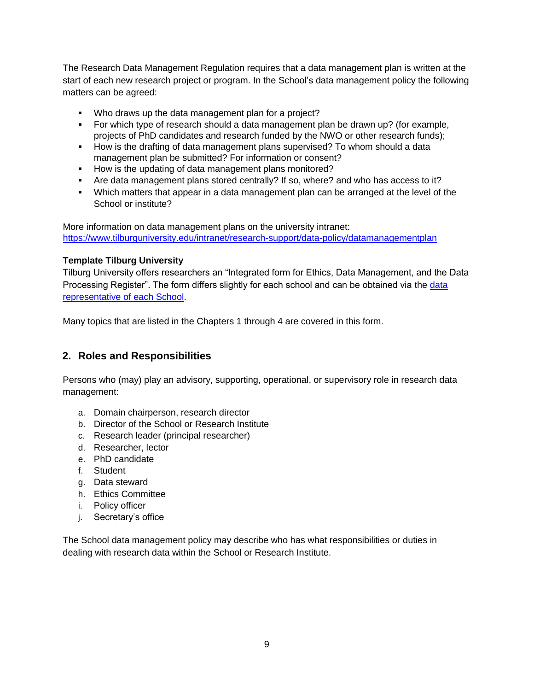The Research Data Management Regulation requires that a data management plan is written at the start of each new research project or program. In the School's data management policy the following matters can be agreed:

- Who draws up the data management plan for a project?
- For which type of research should a data management plan be drawn up? (for example, projects of PhD candidates and research funded by the NWO or other research funds);
- How is the drafting of data management plans supervised? To whom should a data management plan be submitted? For information or consent?
- How is the updating of data management plans monitored?
- Are data management plans stored centrally? If so, where? and who has access to it?
- Which matters that appear in a data management plan can be arranged at the level of the School or institute?

More information on data management plans on the university intranet: <https://www.tilburguniversity.edu/intranet/research-support/data-policy/datamanagementplan>

## **Template Tilburg University**

Tilburg University offers researchers an "Integrated form for Ethics, Data Management, and the Data Processing Register". The form differs slightly for each school and can be obtained via the [data](https://www.tilburguniversity.edu/intranet/legal-affairs/privacy/contact)  [representative of each School.](https://www.tilburguniversity.edu/intranet/legal-affairs/privacy/contact)

Many topics that are listed in the Chapters 1 through 4 are covered in this form.

# <span id="page-8-0"></span>**2. Roles and Responsibilities**

Persons who (may) play an advisory, supporting, operational, or supervisory role in research data management:

- a. Domain chairperson, research director
- b. Director of the School or Research Institute
- c. Research leader (principal researcher)
- d. Researcher, lector
- e. PhD candidate
- f. Student
- g. Data steward
- h. Ethics Committee
- i. Policy officer
- j. Secretary's office

The School data management policy may describe who has what responsibilities or duties in dealing with research data within the School or Research Institute.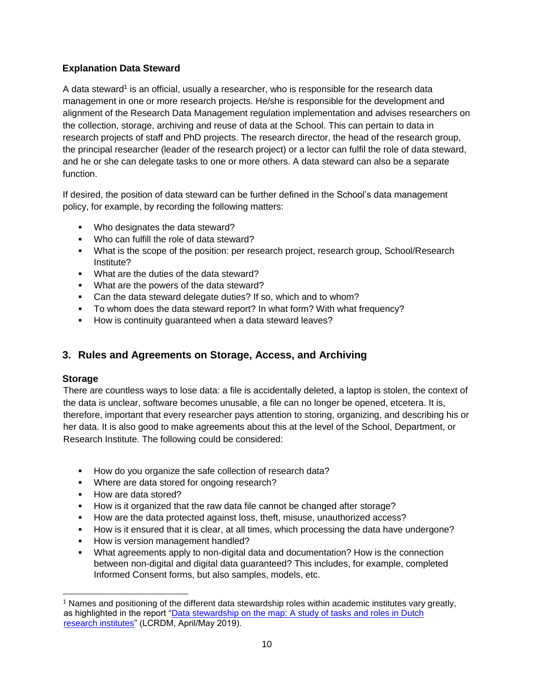## **Explanation Data Steward**

A data steward<sup>1</sup> is an official, usually a researcher, who is responsible for the research data management in one or more research projects. He/she is responsible for the development and alignment of the Research Data Management regulation implementation and advises researchers on the collection, storage, archiving and reuse of data at the School. This can pertain to data in research projects of staff and PhD projects. The research director, the head of the research group, the principal researcher (leader of the research project) or a lector can fulfil the role of data steward, and he or she can delegate tasks to one or more others. A data steward can also be a separate function.

If desired, the position of data steward can be further defined in the School's data management policy, for example, by recording the following matters:

- Who designates the data steward?
- . Who can fulfill the role of data steward?
- What is the scope of the position: per research project, research group, School/Research Institute?
- **What are the duties of the data steward?**
- **What are the powers of the data steward?**
- Can the data steward delegate duties? If so, which and to whom?
- To whom does the data steward report? In what form? With what frequency?
- **How is continuity guaranteed when a data steward leaves?**

# <span id="page-9-0"></span>**3. Rules and Agreements on Storage, Access, and Archiving**

## **Storage**

 $\overline{a}$ 

There are countless ways to lose data: a file is accidentally deleted, a laptop is stolen, the context of the data is unclear, software becomes unusable, a file can no longer be opened, etcetera. It is, therefore, important that every researcher pays attention to storing, organizing, and describing his or her data. It is also good to make agreements about this at the level of the School, Department, or Research Institute. The following could be considered:

- How do you organize the safe collection of research data?
- **Where are data stored for ongoing research?**
- How are data stored?
- How is it organized that the raw data file cannot be changed after storage?
- How are the data protected against loss, theft, misuse, unauthorized access?
- How is it ensured that it is clear, at all times, which processing the data have undergone?
- **How is version management handled?**
- What agreements apply to non-digital data and documentation? How is the connection between non-digital and digital data guaranteed? This includes, for example, completed Informed Consent forms, but also samples, models, etc.

<sup>1</sup> Names and positioning of the different data stewardship roles within academic institutes vary greatly, as highlighted in the report "Data stewardship on the map: A study of tasks and roles in Dutch [research institutes"](https://www.lcrdm.nl/files/lcrdm/2019-05/LCRDM%20rapport%20datastewardship_EN_online.pdf) (LCRDM, April/May 2019).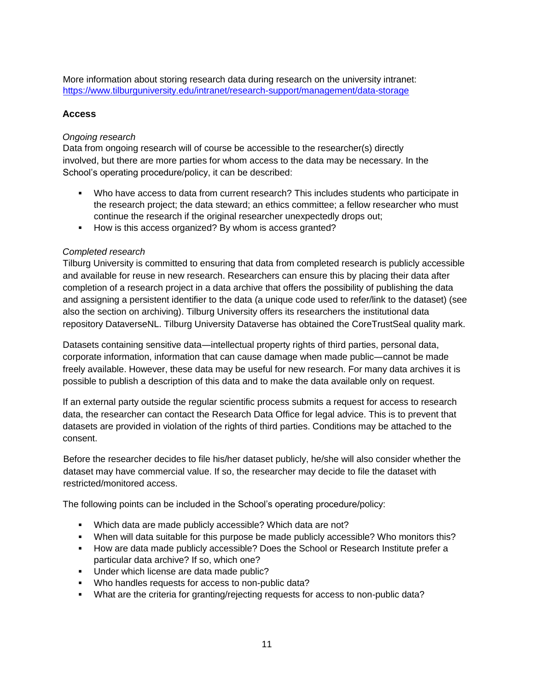More information about storing research data during research on the university intranet: <https://www.tilburguniversity.edu/intranet/research-support/management/data-storage>

### **Access**

#### *Ongoing research*

Data from ongoing research will of course be accessible to the researcher(s) directly involved, but there are more parties for whom access to the data may be necessary. In the School's operating procedure/policy, it can be described:

- Who have access to data from current research? This includes students who participate in the research project; the data steward; an ethics committee; a fellow researcher who must continue the research if the original researcher unexpectedly drops out;
- How is this access organized? By whom is access granted?

#### *Completed research*

Tilburg University is committed to ensuring that data from completed research is publicly accessible and available for reuse in new research. Researchers can ensure this by placing their data after completion of a research project in a data archive that offers the possibility of publishing the data and assigning a persistent identifier to the data (a unique code used to refer/link to the dataset) (see also the section on archiving). Tilburg University offers its researchers the institutional data repository DataverseNL. Tilburg University Dataverse has obtained the CoreTrustSeal quality mark.

Datasets containing sensitive data—intellectual property rights of third parties, personal data, corporate information, information that can cause damage when made public―cannot be made freely available. However, these data may be useful for new research. For many data archives it is possible to publish a description of this data and to make the data available only on request.

If an external party outside the regular scientific process submits a request for access to research data, the researcher can contact the Research Data Office for legal advice. This is to prevent that datasets are provided in violation of the rights of third parties. Conditions may be attached to the consent.

Before the researcher decides to file his/her dataset publicly, he/she will also consider whether the dataset may have commercial value. If so, the researcher may decide to file the dataset with restricted/monitored access.

The following points can be included in the School's operating procedure/policy:

- Which data are made publicly accessible? Which data are not?
- When will data suitable for this purpose be made publicly accessible? Who monitors this?
- How are data made publicly accessible? Does the School or Research Institute prefer a particular data archive? If so, which one?
- **Under which license are data made public?**
- Who handles requests for access to non-public data?
- What are the criteria for granting/rejecting requests for access to non-public data?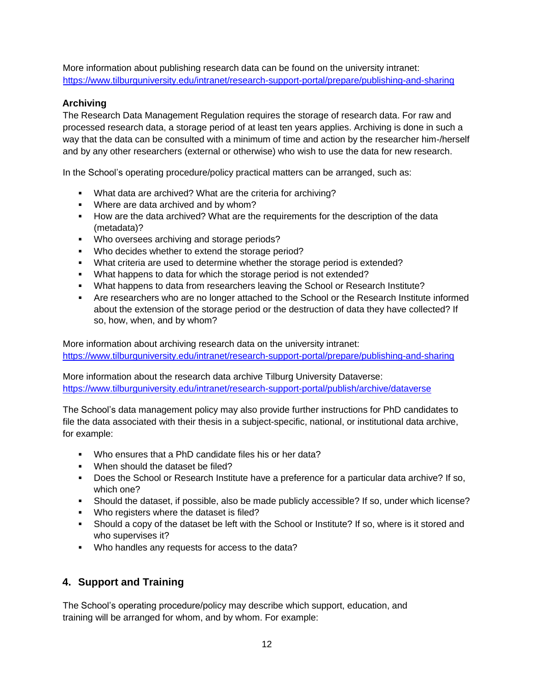More information about publishing research data can be found on the university intranet: <https://www.tilburguniversity.edu/intranet/research-support-portal/prepare/publishing-and-sharing>

# **Archiving**

The Research Data Management Regulation requires the storage of research data. For raw and processed research data, a storage period of at least ten years applies. Archiving is done in such a way that the data can be consulted with a minimum of time and action by the researcher him-/herself and by any other researchers (external or otherwise) who wish to use the data for new research.

In the School's operating procedure/policy practical matters can be arranged, such as:

- What data are archived? What are the criteria for archiving?
- **Where are data archived and by whom?**
- How are the data archived? What are the requirements for the description of the data (metadata)?
- **Who oversees archiving and storage periods?**
- **Who decides whether to extend the storage period?**
- What criteria are used to determine whether the storage period is extended?
- What happens to data for which the storage period is not extended?
- What happens to data from researchers leaving the School or Research Institute?
- Are researchers who are no longer attached to the School or the Research Institute informed about the extension of the storage period or the destruction of data they have collected? If so, how, when, and by whom?

More information about archiving research data on the university intranet: <https://www.tilburguniversity.edu/intranet/research-support-portal/prepare/publishing-and-sharing>

More information about the research data archive Tilburg University Dataverse: <https://www.tilburguniversity.edu/intranet/research-support-portal/publish/archive/dataverse>

The School's data management policy may also provide further instructions for PhD candidates to file the data associated with their thesis in a subject-specific, national, or institutional data archive, for example:

- Who ensures that a PhD candidate files his or her data?
- . When should the dataset be filed?
- Does the School or Research Institute have a preference for a particular data archive? If so, which one?
- Should the dataset, if possible, also be made publicly accessible? If so, under which license?
- **Who registers where the dataset is filed?**
- Should a copy of the dataset be left with the School or Institute? If so, where is it stored and who supervises it?
- Who handles any requests for access to the data?

# <span id="page-11-0"></span>**4. Support and Training**

The School's operating procedure/policy may describe which support, education, and training will be arranged for whom, and by whom. For example: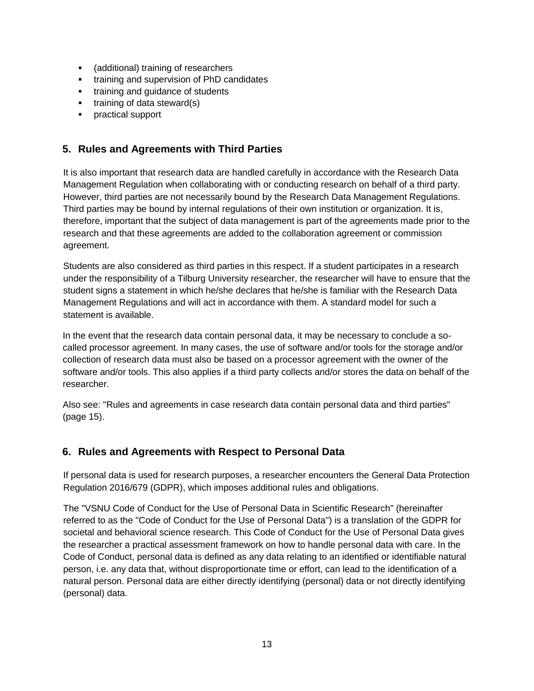- (additional) training of researchers
- **training and supervision of PhD candidates**
- **training and guidance of students**
- $\blacksquare$  training of data steward(s)
- **practical support**

# <span id="page-12-0"></span>**5. Rules and Agreements with Third Parties**

It is also important that research data are handled carefully in accordance with the Research Data Management Regulation when collaborating with or conducting research on behalf of a third party. However, third parties are not necessarily bound by the Research Data Management Regulations. Third parties may be bound by internal regulations of their own institution or organization. It is, therefore, important that the subject of data management is part of the agreements made prior to the research and that these agreements are added to the collaboration agreement or commission agreement.

Students are also considered as third parties in this respect. If a student participates in a research under the responsibility of a Tilburg University researcher, the researcher will have to ensure that the student signs a statement in which he/she declares that he/she is familiar with the Research Data Management Regulations and will act in accordance with them. A standard model for such a statement is available.

In the event that the research data contain personal data, it may be necessary to conclude a socalled processor agreement. In many cases, the use of software and/or tools for the storage and/or collection of research data must also be based on a processor agreement with the owner of the software and/or tools. This also applies if a third party collects and/or stores the data on behalf of the researcher.

Also see: "Rules and agreements in case research data contain personal data and third parties" (page 15).

## <span id="page-12-1"></span>**6. Rules and Agreements with Respect to Personal Data**

If personal data is used for research purposes, a researcher encounters the General Data Protection Regulation 2016/679 (GDPR), which imposes additional rules and obligations.

The "VSNU Code of Conduct for the Use of Personal Data in Scientific Research" (hereinafter referred to as the "Code of Conduct for the Use of Personal Data") is a translation of the GDPR for societal and behavioral science research. This Code of Conduct for the Use of Personal Data gives the researcher a practical assessment framework on how to handle personal data with care. In the Code of Conduct, personal data is defined as any data relating to an identified or identifiable natural person, i.e. any data that, without disproportionate time or effort, can lead to the identification of a natural person. Personal data are either directly identifying (personal) data or not directly identifying (personal) data.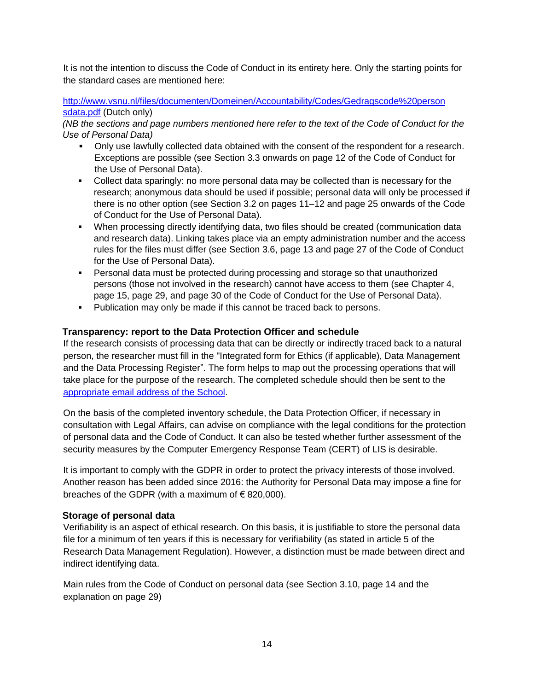It is not the intention to discuss the Code of Conduct in its entirety here. Only the starting points for the standard cases are mentioned here:

[http://www.vsnu.nl/files/documenten/Domeinen/Accountability/Codes/Gedragscode%20person](http://www.vsnu.nl/files/documenten/Domeinen/Accountability/Codes/Gedragscode%20persoonsgegevens.pdf)  [sdata.pdf](http://www.vsnu.nl/files/documenten/Domeinen/Accountability/Codes/Gedragscode%20persoonsgegevens.pdf) (Dutch only)

*(NB the sections and page numbers mentioned here refer to the text of the Code of Conduct for the Use of Personal Data)* 

- Only use lawfully collected data obtained with the consent of the respondent for a research. Exceptions are possible (see Section 3.3 onwards on page 12 of the Code of Conduct for the Use of Personal Data).
- Collect data sparingly: no more personal data may be collected than is necessary for the research; anonymous data should be used if possible; personal data will only be processed if there is no other option (see Section 3.2 on pages 11–12 and page 25 onwards of the Code of Conduct for the Use of Personal Data).
- When processing directly identifying data, two files should be created (communication data and research data). Linking takes place via an empty administration number and the access rules for the files must differ (see Section 3.6, page 13 and page 27 of the Code of Conduct for the Use of Personal Data).
- Personal data must be protected during processing and storage so that unauthorized persons (those not involved in the research) cannot have access to them (see Chapter 4, page 15, page 29, and page 30 of the Code of Conduct for the Use of Personal Data).
- Publication may only be made if this cannot be traced back to persons.

## **Transparency: report to the Data Protection Officer and schedule**

If the research consists of processing data that can be directly or indirectly traced back to a natural person, the researcher must fill in the "Integrated form for Ethics (if applicable), Data Management and the Data Processing Register". The form helps to map out the processing operations that will take place for the purpose of the research. The completed schedule should then be sent to the [appropriate email address of the School.](https://www.tilburguniversity.edu/intranet/legal-affairs/privacy/research)

On the basis of the completed inventory schedule, the Data Protection Officer, if necessary in consultation with Legal Affairs, can advise on compliance with the legal conditions for the protection of personal data and the Code of Conduct. It can also be tested whether further assessment of the security measures by the Computer Emergency Response Team (CERT) of LIS is desirable.

It is important to comply with the GDPR in order to protect the privacy interests of those involved. Another reason has been added since 2016: the Authority for Personal Data may impose a fine for breaches of the GDPR (with a maximum of  $\epsilon$  820,000).

## **Storage of personal data**

Verifiability is an aspect of ethical research. On this basis, it is justifiable to store the personal data file for a minimum of ten years if this is necessary for verifiability (as stated in article 5 of the Research Data Management Regulation). However, a distinction must be made between direct and indirect identifying data.

Main rules from the Code of Conduct on personal data (see Section 3.10, page 14 and the explanation on page 29)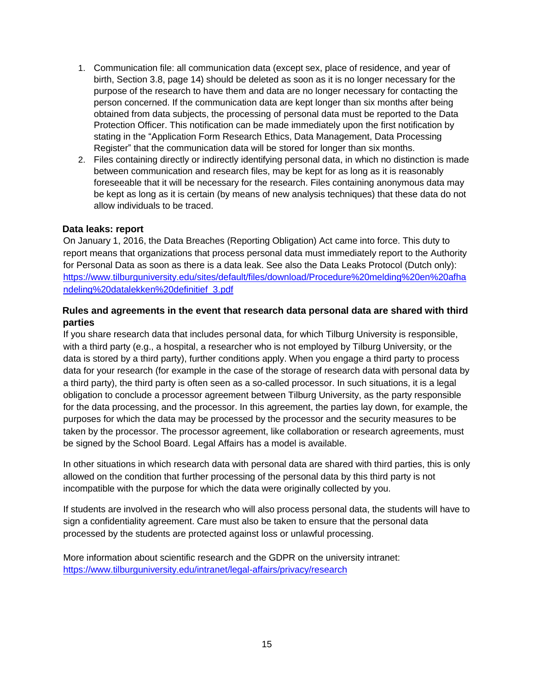- 1. Communication file: all communication data (except sex, place of residence, and year of birth, Section 3.8, page 14) should be deleted as soon as it is no longer necessary for the purpose of the research to have them and data are no longer necessary for contacting the person concerned. If the communication data are kept longer than six months after being obtained from data subjects, the processing of personal data must be reported to the Data Protection Officer. This notification can be made immediately upon the first notification by stating in the "Application Form Research Ethics, Data Management, Data Processing Register" that the communication data will be stored for longer than six months.
- 2. Files containing directly or indirectly identifying personal data, in which no distinction is made between communication and research files, may be kept for as long as it is reasonably foreseeable that it will be necessary for the research. Files containing anonymous data may be kept as long as it is certain (by means of new analysis techniques) that these data do not allow individuals to be traced.

#### **Data leaks: report**

On January 1, 2016, the Data Breaches (Reporting Obligation) Act came into force. This duty to report means that organizations that process personal data must immediately report to the Authority for Personal Data as soon as there is a data leak. See also the Data Leaks Protocol (Dutch only): [https://www.tilburguniversity.edu/sites/default/files/download/Procedure%20melding%20en%20afha](https://www.tilburguniversity.edu/sites/default/files/download/Procedure%20melding%20en%20afhandeling%20datalekken%20definitief_3.pdf) [ndeling%20datalekken%20definitief\\_3.pdf](https://www.tilburguniversity.edu/sites/default/files/download/Procedure%20melding%20en%20afhandeling%20datalekken%20definitief_3.pdf)

## **Rules and agreements in the event that research data personal data are shared with third parties**

If you share research data that includes personal data, for which Tilburg University is responsible, with a third party (e.g., a hospital, a researcher who is not employed by Tilburg University, or the data is stored by a third party), further conditions apply. When you engage a third party to process data for your research (for example in the case of the storage of research data with personal data by a third party), the third party is often seen as a so-called processor. In such situations, it is a legal obligation to conclude a processor agreement between Tilburg University, as the party responsible for the data processing, and the processor. In this agreement, the parties lay down, for example, the purposes for which the data may be processed by the processor and the security measures to be taken by the processor. The processor agreement, like collaboration or research agreements, must be signed by the School Board. Legal Affairs has a model is available.

In other situations in which research data with personal data are shared with third parties, this is only allowed on the condition that further processing of the personal data by this third party is not incompatible with the purpose for which the data were originally collected by you.

If students are involved in the research who will also process personal data, the students will have to sign a confidentiality agreement. Care must also be taken to ensure that the personal data processed by the students are protected against loss or unlawful processing.

More information about scientific research and the GDPR on the university intranet: <https://www.tilburguniversity.edu/intranet/legal-affairs/privacy/research>